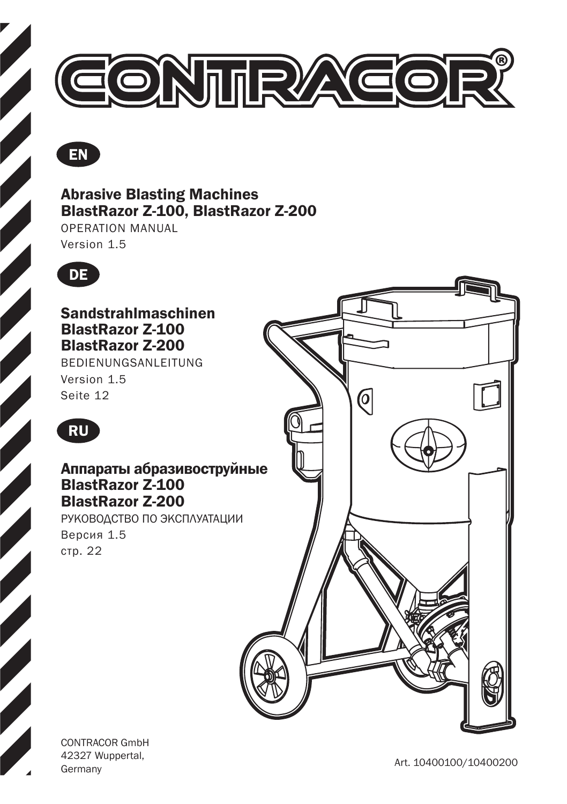



### Abrasive Blasting Machines BlastRazor Z-100, BlastRazor Z-200

OPERATION MANUAL Version 1.5



Sandstrahlmaschinen BlastRazor Z-100 BlastRazor Z-200

BEDIENUNGSANLEITUNG Version 1.5 Seite 12



### Аппараты абразивоструйные BlastRazor Z-100 BlastRazor Z-200

РУКОВОДСТВО ПО ЭКСПЛУАТАЦИИ Версия 1.5 стр. 22



CONTRACOR GmbH 42327 Wuppertal,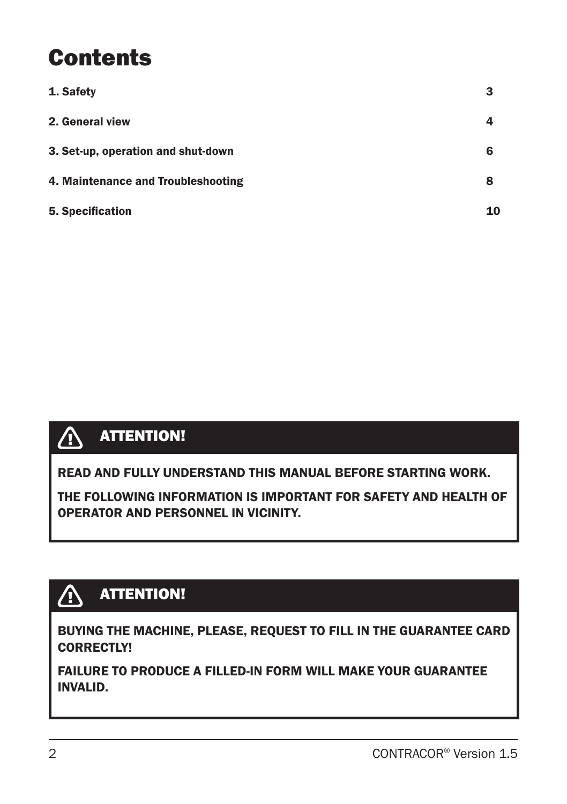## **Contents**

| 1. Safety                          | З  |
|------------------------------------|----|
| 2. General view                    |    |
| 3. Set-up, operation and shut-down | 6  |
| 4. Maintenance and Troubleshooting | 8  |
| 5. Specification                   | 10 |



READ AND FULLY UNDERSTAND THIS MANUAL BEFORE STARTING WORK.

THE FOLLOWING INFORMATION IS IMPORTANT FOR SAFETY AND HEALTH OF OPERATOR AND PERSONNEL IN VICINITY.

### **ATTENTION!**

BUYING THE MACHINE, PLEASE, REQUEST TO FILL IN THE GUARANTEE CARD CORRECTLY!

FAILURE TO PRODUCE A FILLED-IN FORM WILL MAKE YOUR GUARANTEE INVALID.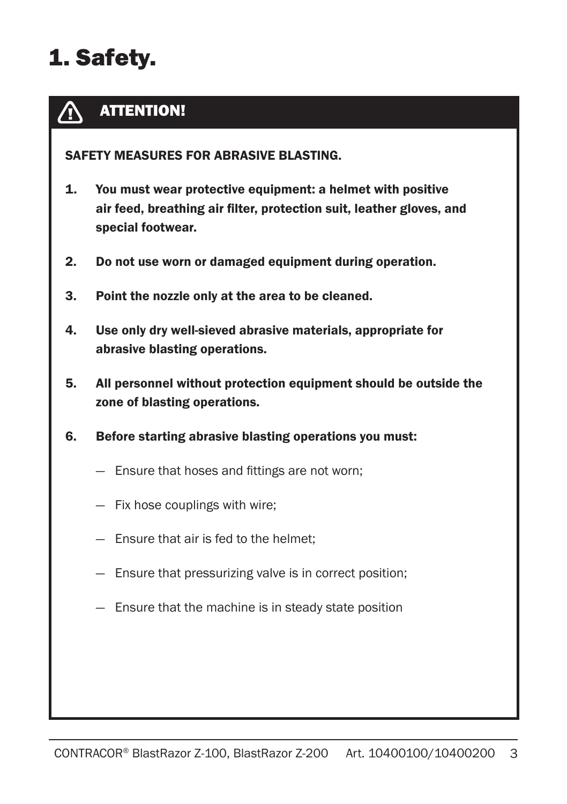# 1. Safety.

#### ATTENTION!  $\bigwedge$

SAFETY MEASURES FOR ABRASIVE BLASTING.

- 1. You must wear protective equipment: a helmet with positive air feed, breathing air filter, protection suit, leather gloves, and special footwear.
- 2. Do not use worn or damaged equipment during operation.
- 3. Point the nozzle only at the area to be cleaned.
- 4. Use only dry well-sieved abrasive materials, appropriate for abrasive blasting operations.
- 5. All personnel without protection equipment should be outside the zone of blasting operations.
- 6. Before starting abrasive blasting operations you must:
	- Ensure that hoses and fittings are not worn;
	- Fix hose couplings with wire;
	- Ensure that air is fed to the helmet;
	- Ensure that pressurizing valve is in correct position;
	- Ensure that the machine is in steady state position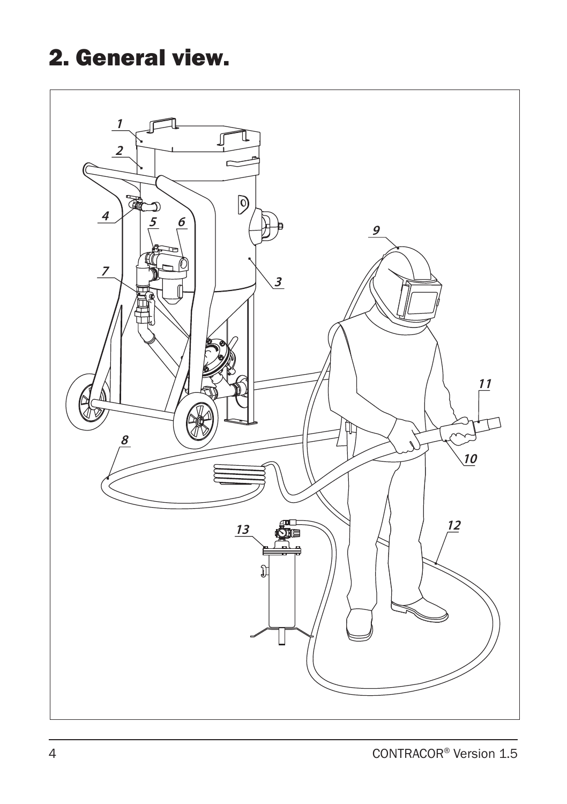# 2. General view.

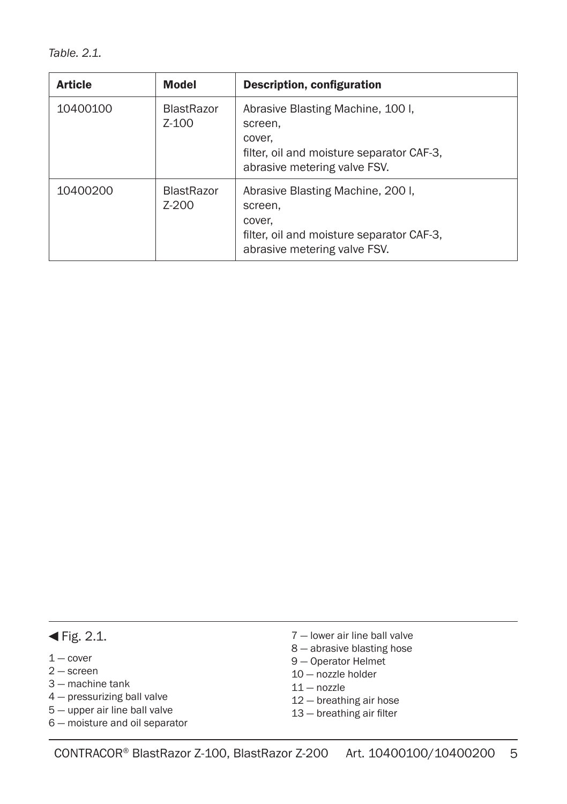*Table. 2.1.*

| <b>Article</b> | <b>Model</b>                 | Description, configuration                                                                                                          |
|----------------|------------------------------|-------------------------------------------------------------------------------------------------------------------------------------|
| 10400100       | <b>BlastRazor</b><br>$Z-100$ | Abrasive Blasting Machine, 100 I,<br>screen.<br>cover.<br>filter, oil and moisture separator CAF-3.<br>abrasive metering valve FSV. |
| 10400200       | <b>BlastRazor</b><br>$Z-200$ | Abrasive Blasting Machine, 2001,<br>screen.<br>cover,<br>filter, oil and moisture separator CAF-3.<br>abrasive metering valve FSV.  |

#### $\blacktriangleleft$  Fig. 2.1.

- $1 -$  cover
- 2 screen
- 3 machine tank
- 4 pressurizing ball valve
- 5 upper air line ball valve
- 6 moisture and oil separator
- 7 lower air line ball valve
- 8 abrasive blasting hose
- 9 Operator Helmet
- 10 nozzle holder
- $11 -$  nozzle
- 12 breathing air hose
- 13 breathing air filter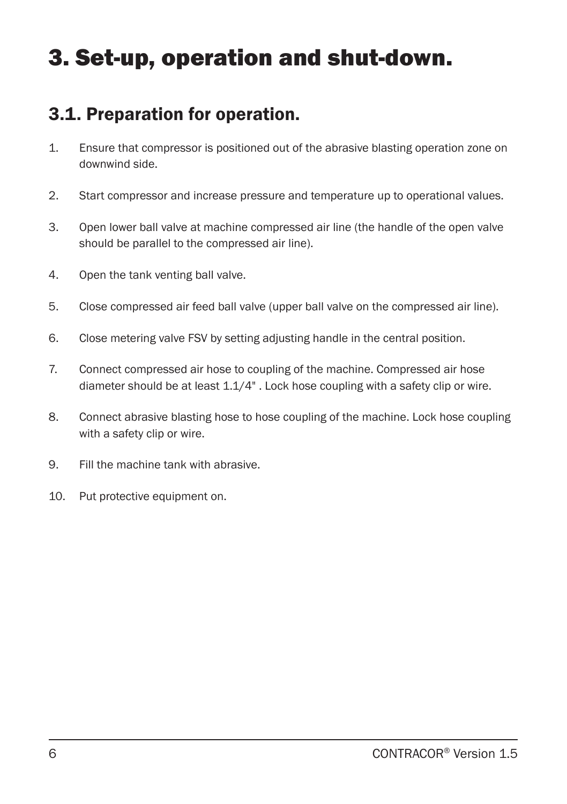## 3. Set-up, operation and shut-down.

### 3.1. Preparation for operation.

- 1. Ensure that compressor is positioned out of the abrasive blasting operation zone on downwind side.
- 2. Start compressor and increase pressure and temperature up to operational values.
- 3. Open lower ball valve at machine compressed air line (the handle of the open valve should be parallel to the compressed air line).
- 4. Open the tank venting ball valve.
- 5. Close compressed air feed ball valve (upper ball valve on the compressed air line).
- 6. Close metering valve FSV by setting adjusting handle in the central position.
- 7. Connect compressed air hose to coupling of the machine. Compressed air hose diameter should be at least 1.1/4" . Lock hose coupling with a safety clip or wire.
- 8. Connect abrasive blasting hose to hose coupling of the machine. Lock hose coupling with a safety clip or wire.
- 9. Fill the machine tank with abrasive.
- 10. Put protective equipment on.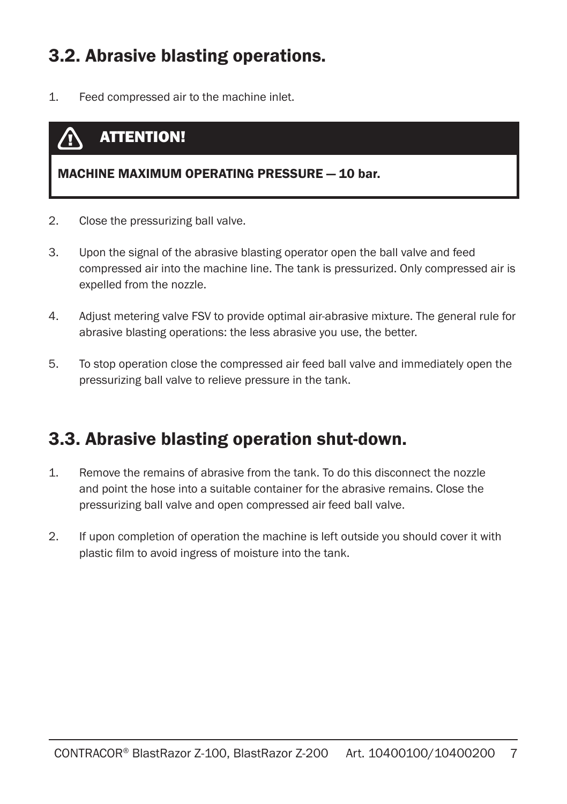### 3.2. Abrasive blasting operations.

1. Feed compressed air to the machine inlet.

### ATTENTION!

#### MACHINE MAXIMUM OPERATING PRESSURE — 10 bar.

- 2. Close the pressurizing ball valve.
- 3. Upon the signal of the abrasive blasting operator open the ball valve and feed compressed air into the machine line. The tank is pressurized. Only compressed air is expelled from the nozzle.
- 4. Adjust metering valve FSV to provide optimal air-abrasive mixture. The general rule for abrasive blasting operations: the less abrasive you use, the better.
- 5. To stop operation close the compressed air feed ball valve and immediately open the pressurizing ball valve to relieve pressure in the tank.

### 3.3. Abrasive blasting operation shut-down.

- 1. Remove the remains of abrasive from the tank. To do this disconnect the nozzle and point the hose into a suitable container for the abrasive remains. Close the pressurizing ball valve and open compressed air feed ball valve.
- 2. If upon completion of operation the machine is left outside you should cover it with plastic film to avoid ingress of moisture into the tank.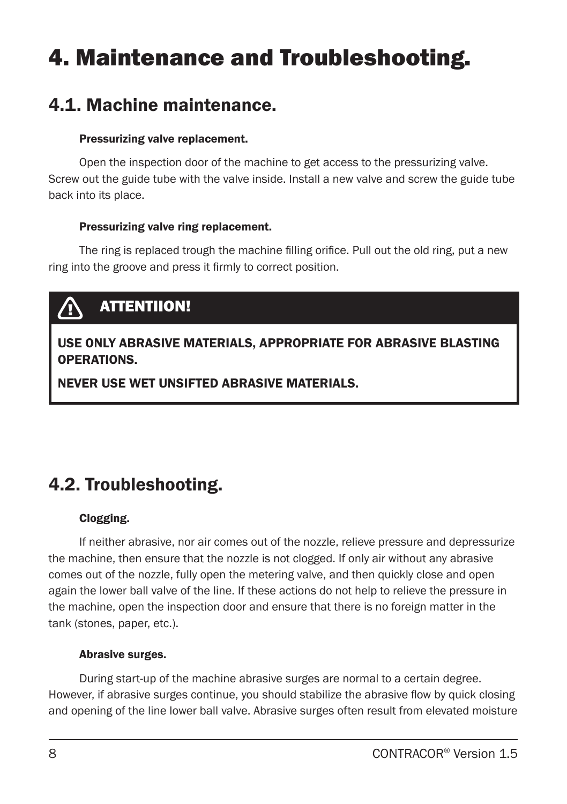## 4. Maintenance and Troubleshooting.

### 4.1. Machine maintenance.

#### Pressurizing valve replacement.

Open the inspection door of the machine to get access to the pressurizing valve. Screw out the guide tube with the valve inside. Install a new valve and screw the guide tube back into its place.

#### Pressurizing valve ring replacement.

The ring is replaced trough the machine filling orifice. Pull out the old ring, put a new ring into the groove and press it firmly to correct position.

## ATTENTIION!

### USE ONLY ABRASIVE MATERIALS, APPROPRIATE FOR ABRASIVE BLASTING OPERATIONS.

NEVER USE WET UNSIFTED ABRASIVE MATERIALS.

### 4.2. Troubleshooting.

#### Clogging.

If neither abrasive, nor air comes out of the nozzle, relieve pressure and depressurize the machine, then ensure that the nozzle is not clogged. If only air without any abrasive comes out of the nozzle, fully open the metering valve, and then quickly close and open again the lower ball valve of the line. If these actions do not help to relieve the pressure in the machine, open the inspection door and ensure that there is no foreign matter in the tank (stones, paper, etc.).

#### Abrasive surges.

During start-up of the machine abrasive surges are normal to a certain degree. However, if abrasive surges continue, you should stabilize the abrasive flow by quick closing and opening of the line lower ball valve. Abrasive surges often result from elevated moisture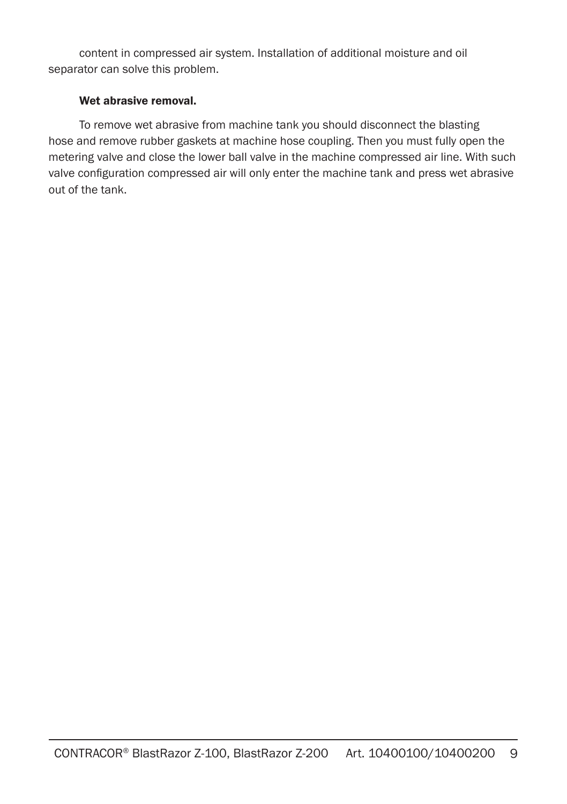content in compressed air system. Installation of additional moisture and oil separator can solve this problem.

#### Wet abrasive removal.

To remove wet abrasive from machine tank you should disconnect the blasting hose and remove rubber gaskets at machine hose coupling. Then you must fully open the metering valve and close the lower ball valve in the machine compressed air line. With such valve configuration compressed air will only enter the machine tank and press wet abrasive out of the tank.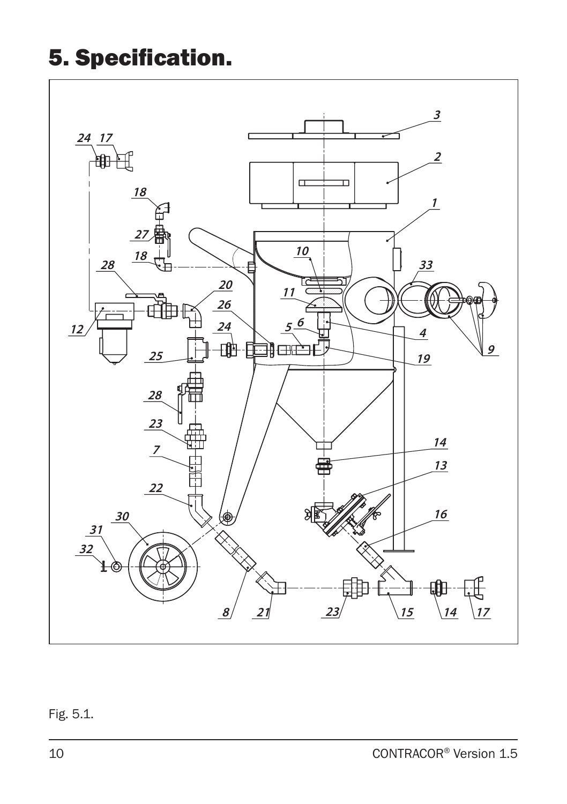# 5. Specification.



### Fig. 5.1.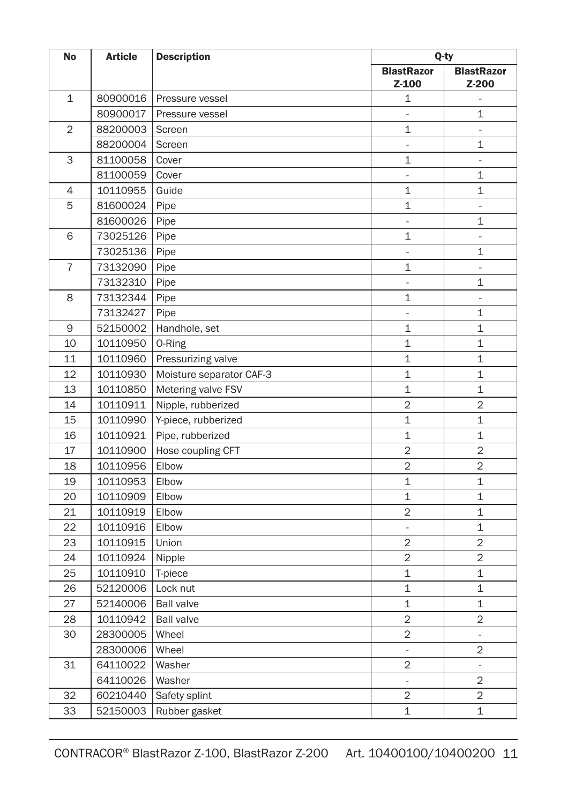| <b>BlastRazor</b><br><b>BlastRazor</b><br>Z-100<br>Z-200<br>$\mathbf{1}$<br>80900016<br>1<br>Pressure vessel<br>$\omega$<br>80900017<br>Pressure vessel<br>1<br>$\overline{a}$<br>$\overline{2}$<br>$\overline{1}$<br>88200003<br>Screen<br>÷,<br>$\mathbf{1}$<br>88200004<br>L.<br>Screen<br>3<br>$\mathbf{1}$<br>81100058<br>Cover<br>$\overline{\phantom{a}}$<br>1<br>81100059<br>Cover<br>$\frac{1}{2}$<br>1<br>4<br>10110955<br>Guide<br>$\mathbf{1}$<br>5<br>81600024<br>1<br>Pipe<br>÷,<br>81600026<br>Pipe<br>1<br>$\frac{1}{2}$<br>6<br>$\mathbf{1}$<br>73025126<br>Pipe<br>÷,<br>73025136<br>Pipe<br>$\overline{a}$<br>1<br>$\overline{7}$<br>73132090<br>Pipe<br>1<br>÷,<br>1<br>73132310<br>Pipe<br>$\overline{\phantom{a}}$<br>73132344<br>$\mathbf{1}$<br>8<br>Pipe<br>L,<br>73132427<br>$\mathbf{1}$<br>Pipe<br>$\overline{\phantom{a}}$<br>9<br>Handhole, set<br>$\mathbf 1$<br>1<br>52150002<br>10<br>$\mathbf 1$<br>1<br>10110950<br>0-Ring<br>$\mathbf 1$<br>11<br>Pressurizing valve<br>1<br>10110960<br>12<br>1<br>1<br>10110930<br>Moisture separator CAF-3<br>$\mathbf 1$<br>$\mathbf 1$<br>13<br>Metering valve FSV<br>10110850<br>$\overline{2}$<br>14<br>10110911<br>$\overline{2}$<br>Nipple, rubberized<br>15<br>10110990<br>Y-piece, rubberized<br>1<br>1<br>$\mathbf 1$<br>1<br>16<br>Pipe, rubberized<br>10110921<br>$\overline{2}$<br>$\overline{2}$<br>17<br>10110900<br>Hose coupling CFT<br>$\overline{2}$<br>$\overline{2}$<br>18<br>10110956<br>Elbow<br>19<br>10110953<br>$\mathbf{1}$<br>$\mathbf 1$<br>Elbow<br>$\mathbf 1$<br>$\mathbf 1$<br>20<br>10110909<br>Elbow<br>21<br>10110919<br>$\overline{2}$<br>$\mathbf 1$<br>Elbow<br>22<br>10110916<br>1<br>Elbow<br>$\overline{\phantom{a}}$<br>$\overline{2}$<br>$\overline{2}$<br>23<br>10110915<br>Union<br>$\overline{2}$<br>$\overline{2}$<br>24<br>10110924<br>Nipple<br>25<br>$\mathbf 1$<br>$\mathbf 1$<br>10110910<br>T-piece<br>$\mathbf{1}$<br>$\mathbf 1$<br>26<br>52120006<br>Lock nut<br>27<br>1<br>$\mathbf 1$<br>52140006<br><b>Ball valve</b><br>$\overline{2}$<br>$\overline{2}$<br>28<br>10110942<br><b>Ball valve</b><br>$\overline{2}$<br>30<br>Wheel<br>28300005<br>$\overline{\phantom{a}}$<br>$\overline{2}$<br>28300006<br>Wheel<br>$\overline{\phantom{a}}$<br>$\overline{2}$<br>31<br>64110022<br>Washer<br>$\overline{\phantom{a}}$<br>64110026<br>$\overline{2}$<br>Washer<br>ä,<br>32<br>$\overline{2}$<br>$\overline{2}$<br>60210440<br>Safety splint<br>33<br>$\mathbf 1$<br>$\mathbf 1$<br>52150003<br>Rubber gasket | <b>No</b> | <b>Article</b><br><b>Description</b> |  | Q-ty |  |
|------------------------------------------------------------------------------------------------------------------------------------------------------------------------------------------------------------------------------------------------------------------------------------------------------------------------------------------------------------------------------------------------------------------------------------------------------------------------------------------------------------------------------------------------------------------------------------------------------------------------------------------------------------------------------------------------------------------------------------------------------------------------------------------------------------------------------------------------------------------------------------------------------------------------------------------------------------------------------------------------------------------------------------------------------------------------------------------------------------------------------------------------------------------------------------------------------------------------------------------------------------------------------------------------------------------------------------------------------------------------------------------------------------------------------------------------------------------------------------------------------------------------------------------------------------------------------------------------------------------------------------------------------------------------------------------------------------------------------------------------------------------------------------------------------------------------------------------------------------------------------------------------------------------------------------------------------------------------------------------------------------------------------------------------------------------------------------------------------------------------------------------------------------------------------------------------------------------------------------------------------------------------------------------------------------------------------------------------------------------------------------------------------------------------------------------------------------------------------------------------------------------------------------------------|-----------|--------------------------------------|--|------|--|
|                                                                                                                                                                                                                                                                                                                                                                                                                                                                                                                                                                                                                                                                                                                                                                                                                                                                                                                                                                                                                                                                                                                                                                                                                                                                                                                                                                                                                                                                                                                                                                                                                                                                                                                                                                                                                                                                                                                                                                                                                                                                                                                                                                                                                                                                                                                                                                                                                                                                                                                                                |           |                                      |  |      |  |
|                                                                                                                                                                                                                                                                                                                                                                                                                                                                                                                                                                                                                                                                                                                                                                                                                                                                                                                                                                                                                                                                                                                                                                                                                                                                                                                                                                                                                                                                                                                                                                                                                                                                                                                                                                                                                                                                                                                                                                                                                                                                                                                                                                                                                                                                                                                                                                                                                                                                                                                                                |           |                                      |  |      |  |
|                                                                                                                                                                                                                                                                                                                                                                                                                                                                                                                                                                                                                                                                                                                                                                                                                                                                                                                                                                                                                                                                                                                                                                                                                                                                                                                                                                                                                                                                                                                                                                                                                                                                                                                                                                                                                                                                                                                                                                                                                                                                                                                                                                                                                                                                                                                                                                                                                                                                                                                                                |           |                                      |  |      |  |
|                                                                                                                                                                                                                                                                                                                                                                                                                                                                                                                                                                                                                                                                                                                                                                                                                                                                                                                                                                                                                                                                                                                                                                                                                                                                                                                                                                                                                                                                                                                                                                                                                                                                                                                                                                                                                                                                                                                                                                                                                                                                                                                                                                                                                                                                                                                                                                                                                                                                                                                                                |           |                                      |  |      |  |
|                                                                                                                                                                                                                                                                                                                                                                                                                                                                                                                                                                                                                                                                                                                                                                                                                                                                                                                                                                                                                                                                                                                                                                                                                                                                                                                                                                                                                                                                                                                                                                                                                                                                                                                                                                                                                                                                                                                                                                                                                                                                                                                                                                                                                                                                                                                                                                                                                                                                                                                                                |           |                                      |  |      |  |
|                                                                                                                                                                                                                                                                                                                                                                                                                                                                                                                                                                                                                                                                                                                                                                                                                                                                                                                                                                                                                                                                                                                                                                                                                                                                                                                                                                                                                                                                                                                                                                                                                                                                                                                                                                                                                                                                                                                                                                                                                                                                                                                                                                                                                                                                                                                                                                                                                                                                                                                                                |           |                                      |  |      |  |
|                                                                                                                                                                                                                                                                                                                                                                                                                                                                                                                                                                                                                                                                                                                                                                                                                                                                                                                                                                                                                                                                                                                                                                                                                                                                                                                                                                                                                                                                                                                                                                                                                                                                                                                                                                                                                                                                                                                                                                                                                                                                                                                                                                                                                                                                                                                                                                                                                                                                                                                                                |           |                                      |  |      |  |
|                                                                                                                                                                                                                                                                                                                                                                                                                                                                                                                                                                                                                                                                                                                                                                                                                                                                                                                                                                                                                                                                                                                                                                                                                                                                                                                                                                                                                                                                                                                                                                                                                                                                                                                                                                                                                                                                                                                                                                                                                                                                                                                                                                                                                                                                                                                                                                                                                                                                                                                                                |           |                                      |  |      |  |
|                                                                                                                                                                                                                                                                                                                                                                                                                                                                                                                                                                                                                                                                                                                                                                                                                                                                                                                                                                                                                                                                                                                                                                                                                                                                                                                                                                                                                                                                                                                                                                                                                                                                                                                                                                                                                                                                                                                                                                                                                                                                                                                                                                                                                                                                                                                                                                                                                                                                                                                                                |           |                                      |  |      |  |
|                                                                                                                                                                                                                                                                                                                                                                                                                                                                                                                                                                                                                                                                                                                                                                                                                                                                                                                                                                                                                                                                                                                                                                                                                                                                                                                                                                                                                                                                                                                                                                                                                                                                                                                                                                                                                                                                                                                                                                                                                                                                                                                                                                                                                                                                                                                                                                                                                                                                                                                                                |           |                                      |  |      |  |
|                                                                                                                                                                                                                                                                                                                                                                                                                                                                                                                                                                                                                                                                                                                                                                                                                                                                                                                                                                                                                                                                                                                                                                                                                                                                                                                                                                                                                                                                                                                                                                                                                                                                                                                                                                                                                                                                                                                                                                                                                                                                                                                                                                                                                                                                                                                                                                                                                                                                                                                                                |           |                                      |  |      |  |
|                                                                                                                                                                                                                                                                                                                                                                                                                                                                                                                                                                                                                                                                                                                                                                                                                                                                                                                                                                                                                                                                                                                                                                                                                                                                                                                                                                                                                                                                                                                                                                                                                                                                                                                                                                                                                                                                                                                                                                                                                                                                                                                                                                                                                                                                                                                                                                                                                                                                                                                                                |           |                                      |  |      |  |
|                                                                                                                                                                                                                                                                                                                                                                                                                                                                                                                                                                                                                                                                                                                                                                                                                                                                                                                                                                                                                                                                                                                                                                                                                                                                                                                                                                                                                                                                                                                                                                                                                                                                                                                                                                                                                                                                                                                                                                                                                                                                                                                                                                                                                                                                                                                                                                                                                                                                                                                                                |           |                                      |  |      |  |
|                                                                                                                                                                                                                                                                                                                                                                                                                                                                                                                                                                                                                                                                                                                                                                                                                                                                                                                                                                                                                                                                                                                                                                                                                                                                                                                                                                                                                                                                                                                                                                                                                                                                                                                                                                                                                                                                                                                                                                                                                                                                                                                                                                                                                                                                                                                                                                                                                                                                                                                                                |           |                                      |  |      |  |
|                                                                                                                                                                                                                                                                                                                                                                                                                                                                                                                                                                                                                                                                                                                                                                                                                                                                                                                                                                                                                                                                                                                                                                                                                                                                                                                                                                                                                                                                                                                                                                                                                                                                                                                                                                                                                                                                                                                                                                                                                                                                                                                                                                                                                                                                                                                                                                                                                                                                                                                                                |           |                                      |  |      |  |
|                                                                                                                                                                                                                                                                                                                                                                                                                                                                                                                                                                                                                                                                                                                                                                                                                                                                                                                                                                                                                                                                                                                                                                                                                                                                                                                                                                                                                                                                                                                                                                                                                                                                                                                                                                                                                                                                                                                                                                                                                                                                                                                                                                                                                                                                                                                                                                                                                                                                                                                                                |           |                                      |  |      |  |
|                                                                                                                                                                                                                                                                                                                                                                                                                                                                                                                                                                                                                                                                                                                                                                                                                                                                                                                                                                                                                                                                                                                                                                                                                                                                                                                                                                                                                                                                                                                                                                                                                                                                                                                                                                                                                                                                                                                                                                                                                                                                                                                                                                                                                                                                                                                                                                                                                                                                                                                                                |           |                                      |  |      |  |
|                                                                                                                                                                                                                                                                                                                                                                                                                                                                                                                                                                                                                                                                                                                                                                                                                                                                                                                                                                                                                                                                                                                                                                                                                                                                                                                                                                                                                                                                                                                                                                                                                                                                                                                                                                                                                                                                                                                                                                                                                                                                                                                                                                                                                                                                                                                                                                                                                                                                                                                                                |           |                                      |  |      |  |
|                                                                                                                                                                                                                                                                                                                                                                                                                                                                                                                                                                                                                                                                                                                                                                                                                                                                                                                                                                                                                                                                                                                                                                                                                                                                                                                                                                                                                                                                                                                                                                                                                                                                                                                                                                                                                                                                                                                                                                                                                                                                                                                                                                                                                                                                                                                                                                                                                                                                                                                                                |           |                                      |  |      |  |
|                                                                                                                                                                                                                                                                                                                                                                                                                                                                                                                                                                                                                                                                                                                                                                                                                                                                                                                                                                                                                                                                                                                                                                                                                                                                                                                                                                                                                                                                                                                                                                                                                                                                                                                                                                                                                                                                                                                                                                                                                                                                                                                                                                                                                                                                                                                                                                                                                                                                                                                                                |           |                                      |  |      |  |
|                                                                                                                                                                                                                                                                                                                                                                                                                                                                                                                                                                                                                                                                                                                                                                                                                                                                                                                                                                                                                                                                                                                                                                                                                                                                                                                                                                                                                                                                                                                                                                                                                                                                                                                                                                                                                                                                                                                                                                                                                                                                                                                                                                                                                                                                                                                                                                                                                                                                                                                                                |           |                                      |  |      |  |
|                                                                                                                                                                                                                                                                                                                                                                                                                                                                                                                                                                                                                                                                                                                                                                                                                                                                                                                                                                                                                                                                                                                                                                                                                                                                                                                                                                                                                                                                                                                                                                                                                                                                                                                                                                                                                                                                                                                                                                                                                                                                                                                                                                                                                                                                                                                                                                                                                                                                                                                                                |           |                                      |  |      |  |
|                                                                                                                                                                                                                                                                                                                                                                                                                                                                                                                                                                                                                                                                                                                                                                                                                                                                                                                                                                                                                                                                                                                                                                                                                                                                                                                                                                                                                                                                                                                                                                                                                                                                                                                                                                                                                                                                                                                                                                                                                                                                                                                                                                                                                                                                                                                                                                                                                                                                                                                                                |           |                                      |  |      |  |
|                                                                                                                                                                                                                                                                                                                                                                                                                                                                                                                                                                                                                                                                                                                                                                                                                                                                                                                                                                                                                                                                                                                                                                                                                                                                                                                                                                                                                                                                                                                                                                                                                                                                                                                                                                                                                                                                                                                                                                                                                                                                                                                                                                                                                                                                                                                                                                                                                                                                                                                                                |           |                                      |  |      |  |
|                                                                                                                                                                                                                                                                                                                                                                                                                                                                                                                                                                                                                                                                                                                                                                                                                                                                                                                                                                                                                                                                                                                                                                                                                                                                                                                                                                                                                                                                                                                                                                                                                                                                                                                                                                                                                                                                                                                                                                                                                                                                                                                                                                                                                                                                                                                                                                                                                                                                                                                                                |           |                                      |  |      |  |
|                                                                                                                                                                                                                                                                                                                                                                                                                                                                                                                                                                                                                                                                                                                                                                                                                                                                                                                                                                                                                                                                                                                                                                                                                                                                                                                                                                                                                                                                                                                                                                                                                                                                                                                                                                                                                                                                                                                                                                                                                                                                                                                                                                                                                                                                                                                                                                                                                                                                                                                                                |           |                                      |  |      |  |
|                                                                                                                                                                                                                                                                                                                                                                                                                                                                                                                                                                                                                                                                                                                                                                                                                                                                                                                                                                                                                                                                                                                                                                                                                                                                                                                                                                                                                                                                                                                                                                                                                                                                                                                                                                                                                                                                                                                                                                                                                                                                                                                                                                                                                                                                                                                                                                                                                                                                                                                                                |           |                                      |  |      |  |
|                                                                                                                                                                                                                                                                                                                                                                                                                                                                                                                                                                                                                                                                                                                                                                                                                                                                                                                                                                                                                                                                                                                                                                                                                                                                                                                                                                                                                                                                                                                                                                                                                                                                                                                                                                                                                                                                                                                                                                                                                                                                                                                                                                                                                                                                                                                                                                                                                                                                                                                                                |           |                                      |  |      |  |
|                                                                                                                                                                                                                                                                                                                                                                                                                                                                                                                                                                                                                                                                                                                                                                                                                                                                                                                                                                                                                                                                                                                                                                                                                                                                                                                                                                                                                                                                                                                                                                                                                                                                                                                                                                                                                                                                                                                                                                                                                                                                                                                                                                                                                                                                                                                                                                                                                                                                                                                                                |           |                                      |  |      |  |
|                                                                                                                                                                                                                                                                                                                                                                                                                                                                                                                                                                                                                                                                                                                                                                                                                                                                                                                                                                                                                                                                                                                                                                                                                                                                                                                                                                                                                                                                                                                                                                                                                                                                                                                                                                                                                                                                                                                                                                                                                                                                                                                                                                                                                                                                                                                                                                                                                                                                                                                                                |           |                                      |  |      |  |
|                                                                                                                                                                                                                                                                                                                                                                                                                                                                                                                                                                                                                                                                                                                                                                                                                                                                                                                                                                                                                                                                                                                                                                                                                                                                                                                                                                                                                                                                                                                                                                                                                                                                                                                                                                                                                                                                                                                                                                                                                                                                                                                                                                                                                                                                                                                                                                                                                                                                                                                                                |           |                                      |  |      |  |
|                                                                                                                                                                                                                                                                                                                                                                                                                                                                                                                                                                                                                                                                                                                                                                                                                                                                                                                                                                                                                                                                                                                                                                                                                                                                                                                                                                                                                                                                                                                                                                                                                                                                                                                                                                                                                                                                                                                                                                                                                                                                                                                                                                                                                                                                                                                                                                                                                                                                                                                                                |           |                                      |  |      |  |
|                                                                                                                                                                                                                                                                                                                                                                                                                                                                                                                                                                                                                                                                                                                                                                                                                                                                                                                                                                                                                                                                                                                                                                                                                                                                                                                                                                                                                                                                                                                                                                                                                                                                                                                                                                                                                                                                                                                                                                                                                                                                                                                                                                                                                                                                                                                                                                                                                                                                                                                                                |           |                                      |  |      |  |
|                                                                                                                                                                                                                                                                                                                                                                                                                                                                                                                                                                                                                                                                                                                                                                                                                                                                                                                                                                                                                                                                                                                                                                                                                                                                                                                                                                                                                                                                                                                                                                                                                                                                                                                                                                                                                                                                                                                                                                                                                                                                                                                                                                                                                                                                                                                                                                                                                                                                                                                                                |           |                                      |  |      |  |
|                                                                                                                                                                                                                                                                                                                                                                                                                                                                                                                                                                                                                                                                                                                                                                                                                                                                                                                                                                                                                                                                                                                                                                                                                                                                                                                                                                                                                                                                                                                                                                                                                                                                                                                                                                                                                                                                                                                                                                                                                                                                                                                                                                                                                                                                                                                                                                                                                                                                                                                                                |           |                                      |  |      |  |
|                                                                                                                                                                                                                                                                                                                                                                                                                                                                                                                                                                                                                                                                                                                                                                                                                                                                                                                                                                                                                                                                                                                                                                                                                                                                                                                                                                                                                                                                                                                                                                                                                                                                                                                                                                                                                                                                                                                                                                                                                                                                                                                                                                                                                                                                                                                                                                                                                                                                                                                                                |           |                                      |  |      |  |
|                                                                                                                                                                                                                                                                                                                                                                                                                                                                                                                                                                                                                                                                                                                                                                                                                                                                                                                                                                                                                                                                                                                                                                                                                                                                                                                                                                                                                                                                                                                                                                                                                                                                                                                                                                                                                                                                                                                                                                                                                                                                                                                                                                                                                                                                                                                                                                                                                                                                                                                                                |           |                                      |  |      |  |
|                                                                                                                                                                                                                                                                                                                                                                                                                                                                                                                                                                                                                                                                                                                                                                                                                                                                                                                                                                                                                                                                                                                                                                                                                                                                                                                                                                                                                                                                                                                                                                                                                                                                                                                                                                                                                                                                                                                                                                                                                                                                                                                                                                                                                                                                                                                                                                                                                                                                                                                                                |           |                                      |  |      |  |
|                                                                                                                                                                                                                                                                                                                                                                                                                                                                                                                                                                                                                                                                                                                                                                                                                                                                                                                                                                                                                                                                                                                                                                                                                                                                                                                                                                                                                                                                                                                                                                                                                                                                                                                                                                                                                                                                                                                                                                                                                                                                                                                                                                                                                                                                                                                                                                                                                                                                                                                                                |           |                                      |  |      |  |
|                                                                                                                                                                                                                                                                                                                                                                                                                                                                                                                                                                                                                                                                                                                                                                                                                                                                                                                                                                                                                                                                                                                                                                                                                                                                                                                                                                                                                                                                                                                                                                                                                                                                                                                                                                                                                                                                                                                                                                                                                                                                                                                                                                                                                                                                                                                                                                                                                                                                                                                                                |           |                                      |  |      |  |
|                                                                                                                                                                                                                                                                                                                                                                                                                                                                                                                                                                                                                                                                                                                                                                                                                                                                                                                                                                                                                                                                                                                                                                                                                                                                                                                                                                                                                                                                                                                                                                                                                                                                                                                                                                                                                                                                                                                                                                                                                                                                                                                                                                                                                                                                                                                                                                                                                                                                                                                                                |           |                                      |  |      |  |
|                                                                                                                                                                                                                                                                                                                                                                                                                                                                                                                                                                                                                                                                                                                                                                                                                                                                                                                                                                                                                                                                                                                                                                                                                                                                                                                                                                                                                                                                                                                                                                                                                                                                                                                                                                                                                                                                                                                                                                                                                                                                                                                                                                                                                                                                                                                                                                                                                                                                                                                                                |           |                                      |  |      |  |
|                                                                                                                                                                                                                                                                                                                                                                                                                                                                                                                                                                                                                                                                                                                                                                                                                                                                                                                                                                                                                                                                                                                                                                                                                                                                                                                                                                                                                                                                                                                                                                                                                                                                                                                                                                                                                                                                                                                                                                                                                                                                                                                                                                                                                                                                                                                                                                                                                                                                                                                                                |           |                                      |  |      |  |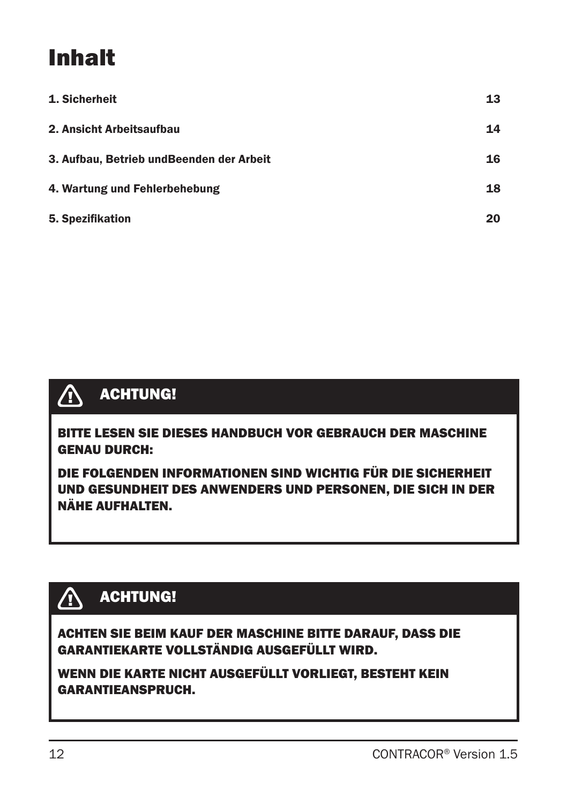# Inhalt

| 1. Sicherheit                             | 13 |
|-------------------------------------------|----|
| 2. Ansicht Arbeitsaufbau                  | 14 |
| 3. Aufbau, Betrieb und Beenden der Arbeit | 16 |
| 4. Wartung und Fehlerbehebung             | 18 |
| 5. Spezifikation                          | 20 |



## ACHTUNG!

BITTE LESEN SIE DIESES HANDBUCH VOR GEBRAUCH DER MASCHINE GENAU DURCH:

DIE FOLGENDEN INFORMATIONEN SIND WICHTIG FÜR DIE SICHERHEIT UND GESUNDHEIT DES ANWENDERS UND PERSONEN, DIE SICH IN DER NÄHE AUFHALTEN.

## ACHTUNG!

ACHTEN SIE BEIM KAUF DER MASCHINE BITTE DARAUF, DASS DIE GARANTIEKARTE VOLLSTÄNDIG AUSGEFÜLLT WIRD.

WENN DIE KARTE NICHT AUSGEFÜLLT VORLIEGT, BESTEHT KEIN GARANTIEANSPRUCH.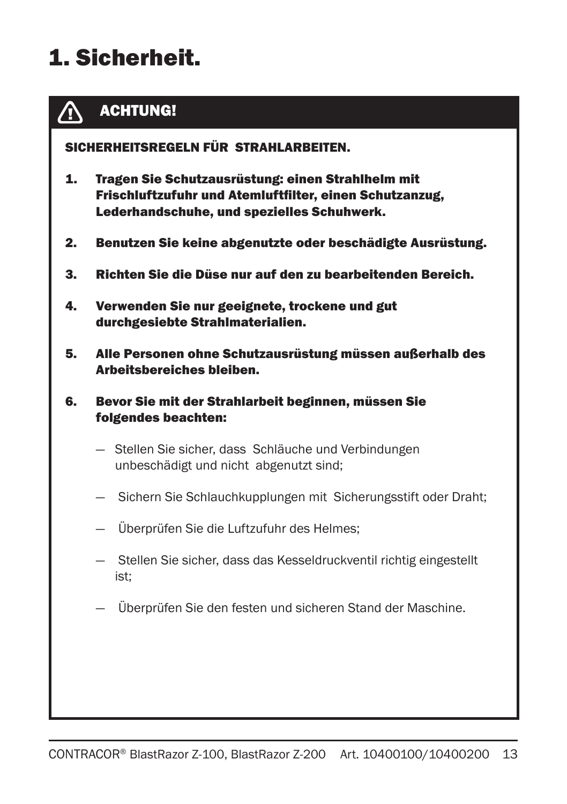# 1. Sicherheit.



### ACHTUNG!

SICHERHEITSREGELN FÜR STRAHLARBEITEN.

- 1. Tragen Sie Schutzausrüstung: einen Strahlhelm mit Frischluftzufuhr und Atemluftfilter, einen Schutzanzug, Lederhandschuhe, und spezielles Schuhwerk.
- 2. Benutzen Sie keine abgenutzte oder beschädigte Ausrüstung.
- 3. Richten Sie die Düse nur auf den zu bearbeitenden Bereich.
- 4. Verwenden Sie nur geeignete, trockene und gut durchgesiebte Strahlmaterialien.
- 5. Alle Personen ohne Schutzausrüstung müssen außerhalb des Arbeitsbereiches bleiben.
- 6. Bevor Sie mit der Strahlarbeit beginnen, müssen Sie folgendes beachten:
	- Stellen Sie sicher, dass Schläuche und Verbindungen unbeschädigt und nicht abgenutzt sind;
	- Sichern Sie Schlauchkupplungen mit Sicherungsstift oder Draht;
	- Überprüfen Sie die Luftzufuhr des Helmes;
	- Stellen Sie sicher, dass das Kesseldruckventil richtig eingestellt ist;
	- Überprüfen Sie den festen und sicheren Stand der Maschine.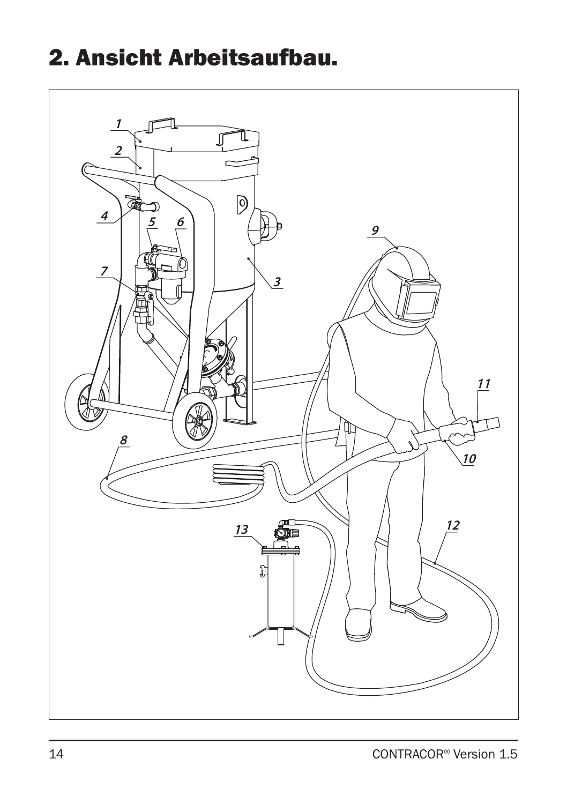## 2. Ansicht Arbeitsaufbau.

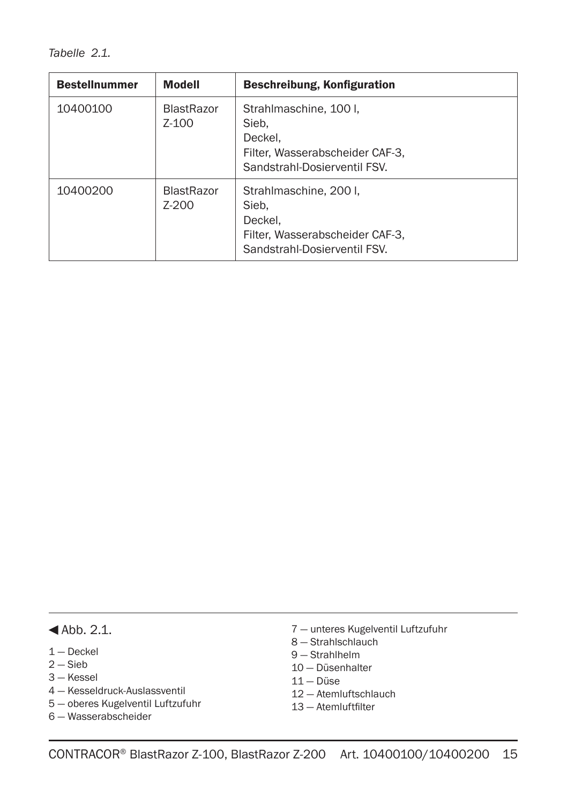*Tabelle 2.1.* 

| <b>Bestellnummer</b> | <b>Modell</b>                | Beschreibung, Konfiguration                                                                                   |
|----------------------|------------------------------|---------------------------------------------------------------------------------------------------------------|
| 10400100             | <b>BlastRazor</b><br>Z-100   | Strahlmaschine, 100 l.<br>Sieb.<br>Deckel.<br>Filter, Wasserabscheider CAF-3.<br>Sandstrahl-Dosierventil FSV. |
| 10400200             | <b>BlastRazor</b><br>$Z-200$ | Strahlmaschine, 200 I.<br>Sieb.<br>Deckel.<br>Filter, Wasserabscheider CAF-3.<br>Sandstrahl-Dosierventil FSV. |

#### $\blacktriangleleft$ Abb. 2.1.

- 1 Deckel
- $2 -$ Sieb
- 3 Kessel
- 4 Kesseldruck-Auslassventil
- 5 oberes Kugelventil Luftzufuhr
- 6 Wasserabscheider
- 7 unteres Kugelventil Luftzufuhr
- 8 Strahlschlauch
- 9 Strahlhelm
- 10 Düsenhalter
- 11 Düse
- 12 Atemluftschlauch
- 13 Atemluftfilter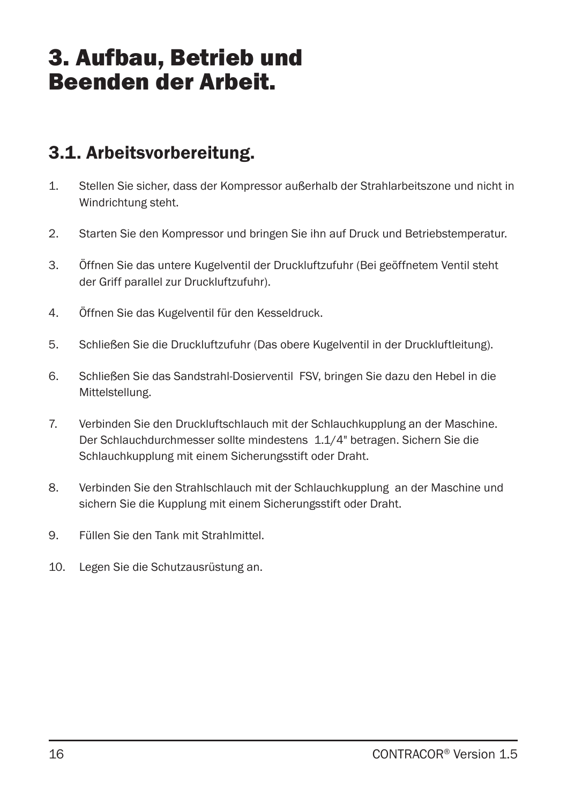## 3. Aufbau, Betrieb und Beenden der Arbeit.

### 3.1. Arbeitsvorbereitung.

- 1. Stellen Sie sicher, dass der Kompressor außerhalb der Strahlarbeitszone und nicht in Windrichtung steht.
- 2. Starten Sie den Kompressor und bringen Sie ihn auf Druck und Betriebstemperatur.
- 3. Öffnen Sie das untere Kugelventil der Druckluftzufuhr (Bei geöffnetem Ventil steht der Griff parallel zur Druckluftzufuhr).
- 4. Öffnen Sie das Kugelventil für den Kesseldruck.
- 5. Schließen Sie die Druckluftzufuhr (Das obere Kugelventil in der Druckluftleitung).
- 6. Schließen Sie das Sandstrahl-Dosierventil FSV, bringen Sie dazu den Hebel in die Mittelstellung.
- 7. Verbinden Sie den Druckluftschlauch mit der Schlauchkupplung an der Maschine. Der Schlauchdurchmesser sollte mindestens 1.1/4" betragen. Sichern Sie die Schlauchkupplung mit einem Sicherungsstift oder Draht.
- 8. Verbinden Sie den Strahlschlauch mit der Schlauchkupplung an der Maschine und sichern Sie die Kupplung mit einem Sicherungsstift oder Draht.
- 9. Füllen Sie den Tank mit Strahlmittel.
- 10. Legen Sie die Schutzausrüstung an.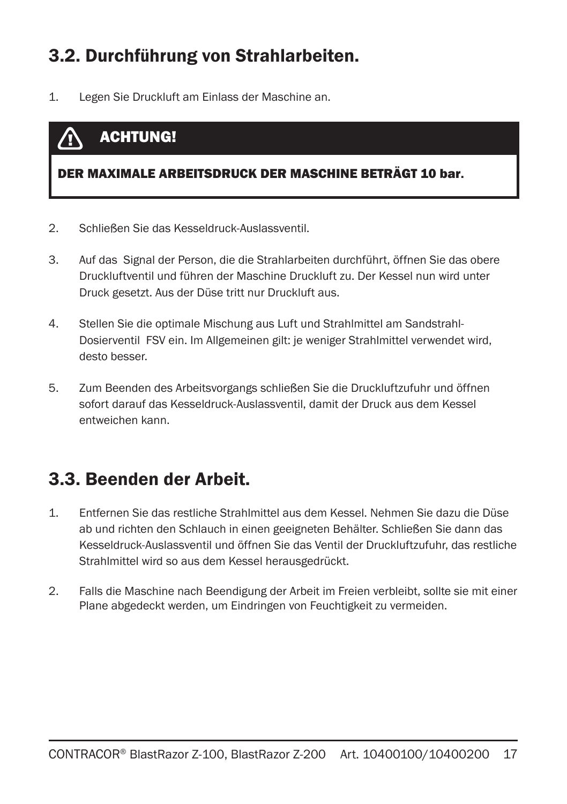### 3.2. Durchführung von Strahlarbeiten.

1. Legen Sie Druckluft am Einlass der Maschine an.

#### ACHTUNG! **/T**

#### DER MAXIMALE ARBEITSDRUCK DER MASCHINE BETRÄGT 10 bar.

- 2. Schließen Sie das Kesseldruck-Auslassventil.
- 3. Auf das Signal der Person, die die Strahlarbeiten durchführt, öffnen Sie das obere Druckluftventil und führen der Maschine Druckluft zu. Der Kessel nun wird unter Druck gesetzt. Aus der Düse tritt nur Druckluft aus.
- 4. Stellen Sie die optimale Mischung aus Luft und Strahlmittel am Sandstrahl-Dosierventil FSV ein. Im Allgemeinen gilt: je weniger Strahlmittel verwendet wird, desto besser.
- 5. Zum Beenden des Arbeitsvorgangs schließen Sie die Druckluftzufuhr und öffnen sofort darauf das Kesseldruck-Auslassventil, damit der Druck aus dem Kessel entweichen kann.

### 3.3. Beenden der Arbeit.

- 1. Entfernen Sie das restliche Strahlmittel aus dem Kessel. Nehmen Sie dazu die Düse ab und richten den Schlauch in einen geeigneten Behälter. Schließen Sie dann das Kesseldruck-Auslassventil und öffnen Sie das Ventil der Druckluftzufuhr, das restliche Strahlmittel wird so aus dem Kessel herausgedrückt.
- 2. Falls die Maschine nach Beendigung der Arbeit im Freien verbleibt, sollte sie mit einer Plane abgedeckt werden, um Eindringen von Feuchtigkeit zu vermeiden.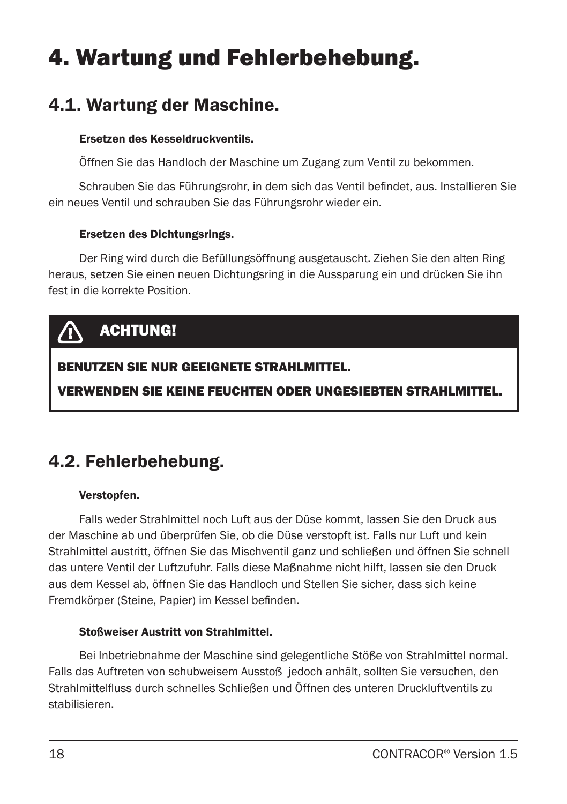# 4. Wartung und Fehlerbehebung.

### 4.1. Wartung der Maschine.

#### Ersetzen des Kesseldruckventils.

Öffnen Sie das Handloch der Maschine um Zugang zum Ventil zu bekommen.

Schrauben Sie das Führungsrohr, in dem sich das Ventil befindet, aus. Installieren Sie ein neues Ventil und schrauben Sie das Führungsrohr wieder ein.

#### Ersetzen des Dichtungsrings.

Der Ring wird durch die Befüllungsöffnung ausgetauscht. Ziehen Sie den alten Ring heraus, setzen Sie einen neuen Dichtungsring in die Aussparung ein und drücken Sie ihn fest in die korrekte Position.

## ACHTUNG!

### BENUTZEN SIE NUR GEEIGNETE STRAHLMITTEL.

VERWENDEN SIE KEINE FEUCHTEN ODER UNGESIEBTEN STRAHLMITTEL.

### 4.2. Fehlerbehebung.

#### Verstopfen.

Falls weder Strahlmittel noch Luft aus der Düse kommt, lassen Sie den Druck aus der Maschine ab und überprüfen Sie, ob die Düse verstopft ist. Falls nur Luft und kein Strahlmittel austritt, öffnen Sie das Mischventil ganz und schließen und öffnen Sie schnell das untere Ventil der Luftzufuhr. Falls diese Maßnahme nicht hilft, lassen sie den Druck aus dem Kessel ab, öffnen Sie das Handloch und Stellen Sie sicher, dass sich keine Fremdkörper (Steine, Papier) im Kessel befinden.

#### Stoßweiser Austritt von Strahlmittel.

Bei Inbetriebnahme der Maschine sind gelegentliche Stöße von Strahlmittel normal. Falls das Auftreten von schubweisem Ausstoß jedoch anhält, sollten Sie versuchen, den Strahlmittelfluss durch schnelles Schließen und Öffnen des unteren Druckluftventils zu stabilisieren.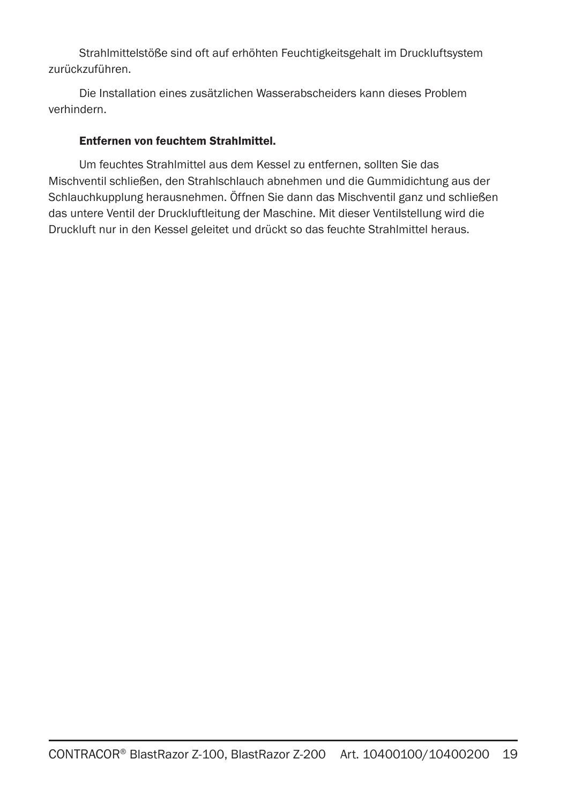Strahlmittelstöße sind oft auf erhöhten Feuchtigkeitsgehalt im Druckluftsystem zurückzuführen.

Die Installation eines zusätzlichen Wasserabscheiders kann dieses Problem verhindern.

#### Entfernen von feuchtem Strahlmittel.

Um feuchtes Strahlmittel aus dem Kessel zu entfernen, sollten Sie das Mischventil schließen, den Strahlschlauch abnehmen und die Gummidichtung aus der Schlauchkupplung herausnehmen. Öffnen Sie dann das Mischventil ganz und schließen das untere Ventil der Druckluftleitung der Maschine. Mit dieser Ventilstellung wird die Druckluft nur in den Kessel geleitet und drückt so das feuchte Strahlmittel heraus.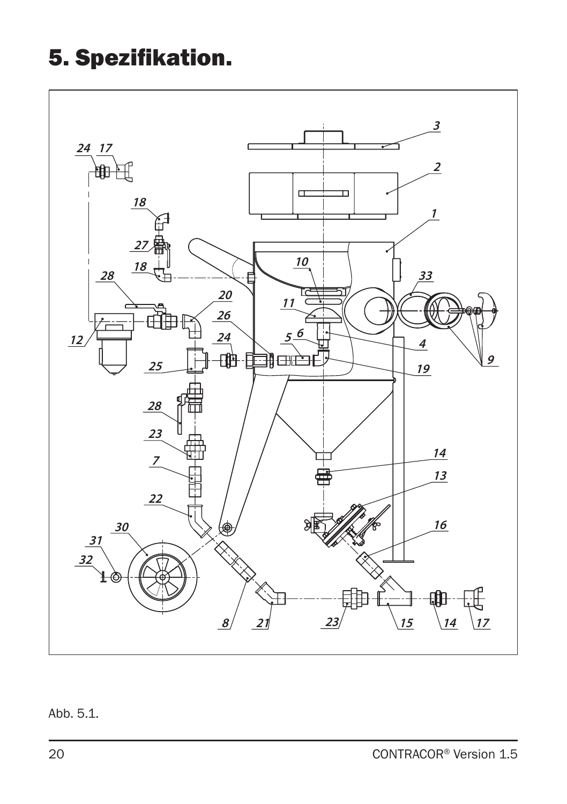## 5. Spezifikation.



### Abb. 5.1.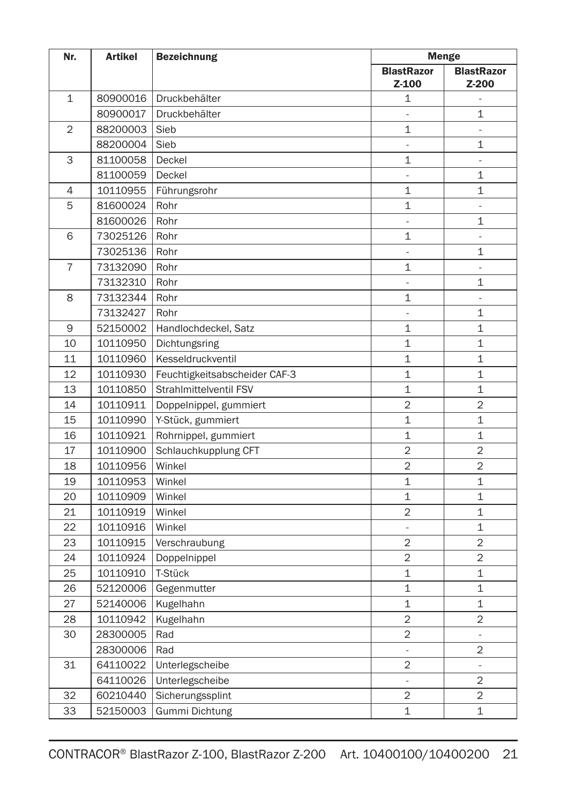| Nr.            | <b>Bezeichnung</b><br><b>Artikel</b> |                               |                          | <b>Menge</b>                 |  |
|----------------|--------------------------------------|-------------------------------|--------------------------|------------------------------|--|
|                |                                      |                               | <b>BlastRazor</b>        | <b>BlastRazor</b>            |  |
|                |                                      |                               | Z-100                    | Z-200                        |  |
| $\mathbf{1}$   | 80900016                             | Druckbehälter                 | 1                        | $\bar{a}$                    |  |
|                | 80900017                             | Druckbehälter                 | ÷,                       | 1                            |  |
| $\overline{2}$ | 88200003                             | Sieb                          | 1                        | ä,                           |  |
|                | 88200004                             | Sieb                          | $\overline{\phantom{a}}$ | 1                            |  |
| 3              | 81100058                             | Deckel                        | 1                        | $\blacksquare$               |  |
|                | 81100059                             | Deckel                        | $\overline{\phantom{a}}$ | 1                            |  |
| $\overline{4}$ | 10110955                             | Führungsrohr                  | 1                        | 1                            |  |
| 5              | 81600024                             | Rohr                          | 1                        | $\Box$                       |  |
|                | 81600026                             | Rohr                          | $\overline{\phantom{a}}$ | 1                            |  |
| 6              | 73025126                             | Rohr                          | $\overline{1}$           |                              |  |
|                | 73025136                             | Rohr                          | L,                       | $\mathbf{1}$                 |  |
| $\overline{7}$ | 73132090                             | Rohr                          | 1                        | $\qquad \qquad \blacksquare$ |  |
|                | 73132310                             | Rohr                          | $\Box$                   | 1                            |  |
| 8              | 73132344                             | Rohr                          | $\overline{1}$           | $\overline{a}$               |  |
|                | 73132427                             | Rohr                          | $\blacksquare$           | 1                            |  |
| 9              | 52150002                             | Handlochdeckel, Satz          | 1                        | 1                            |  |
| 10             | 10110950                             | Dichtungsring                 | $\overline{1}$           | $\mathbf 1$                  |  |
| 11             | 10110960                             | Kesseldruckventil             | $\overline{1}$           | $\mathbf 1$                  |  |
| 12             | 10110930                             | Feuchtigkeitsabscheider CAF-3 | $\mathbf 1$              | 1                            |  |
| 13             | 10110850                             | Strahlmittelventil FSV        | $\overline{1}$           | $\mathbf 1$                  |  |
| 14             | 10110911                             | Doppelnippel, gummiert        | $\overline{2}$           | $\overline{2}$               |  |
| 15             | 10110990                             | Y-Stück, gummiert             | 1                        | 1                            |  |
| 16             | 10110921                             | Rohrnippel, gummiert          | $\mathbf{1}$             | $\mathbf 1$                  |  |
| 17             | 10110900                             | Schlauchkupplung CFT          | $\overline{2}$           | $\overline{2}$               |  |
| 18             | 10110956                             | Winkel                        | $\overline{2}$           | $\overline{2}$               |  |
| 19             | 10110953                             | Winkel                        | $\mathbf 1$              | 1                            |  |
| 20             | 10110909                             | Winkel                        | $\mathbf 1$              | $\mathbf 1$                  |  |
| 21             | 10110919                             | Winkel                        | $\overline{2}$           | $\mathbf{1}$                 |  |
| 22             | 10110916                             | Winkel                        | ä,                       | 1                            |  |
| 23             | 10110915                             | Verschraubung                 | $\overline{2}$           | $\overline{2}$               |  |
| 24             | 10110924                             | Doppelnippel                  | $\overline{2}$           | $\overline{2}$               |  |
| 25             | 10110910                             | T-Stück                       | $\mathbf 1$              | $\mathbf 1$                  |  |
| 26             | 52120006                             | Gegenmutter                   | $\mathbf 1$              | $\mathbf 1$                  |  |
| 27             | 52140006                             | Kugelhahn                     | $\mathbf 1$              | $\mathbf{1}$                 |  |
| 28             | 10110942                             | Kugelhahn                     | $\overline{2}$           | 2                            |  |
| 30             | 28300005                             | Rad                           | $\overline{2}$           | $\overline{\phantom{a}}$     |  |
|                | 28300006                             | Rad                           | ä,                       | 2                            |  |
| 31             | 64110022                             | Unterlegscheibe               | $\overline{2}$           | $\frac{1}{2}$                |  |
|                | 64110026                             | Unterlegscheibe               | $\blacksquare$           | $\overline{2}$               |  |
| 32             | 60210440                             | Sicherungssplint              | $\overline{2}$           | $\overline{2}$               |  |
| 33             | 52150003                             | Gummi Dichtung                | $\mathbf{1}$             | $\mathbf 1$                  |  |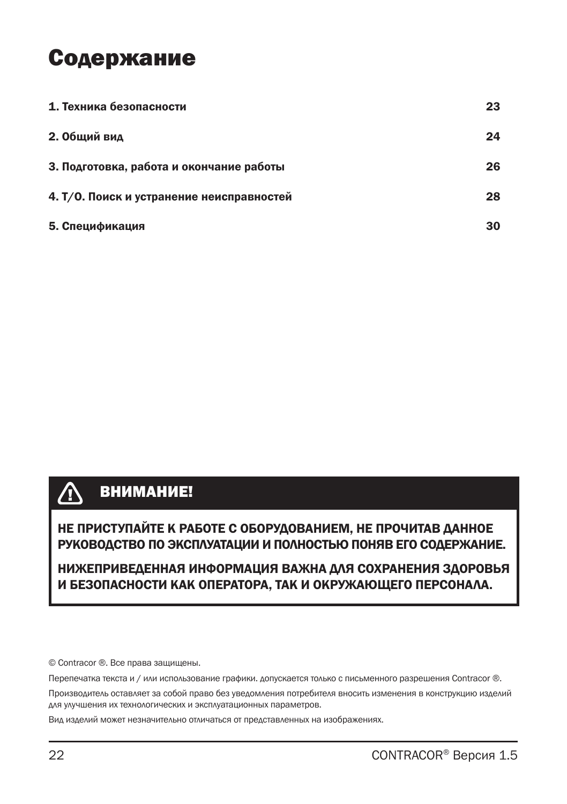## Содержание

| 1. Техника безопасности                   | 23 |
|-------------------------------------------|----|
| 2. Общий вид                              | 24 |
| 3. Подготовка, работа и окончание работы  | 26 |
| 4. Т/О. Поиск и устранение неисправностей | 28 |
| 5. Спецификация                           | 30 |

#### $\bigwedge$ ВНИМАНИЕ!

НЕ ПРИСТУПАЙТЕ К РАБОТЕ С ОБОРУДОВАНИЕМ, НЕ ПРОЧИТАВ ДАННОЕ РУКОВОДСТВО ПО ЭКСПЛУАТАЦИИ И ПОЛНОСТЬЮ ПОНЯВ ЕГО СОДЕРЖАНИЕ.

НИЖЕПРИВЕДЕННАЯ ИНФОРМАЦИЯ ВАЖНА ДЛЯ СОХРАНЕНИЯ ЗДОРОВЬЯ И БЕЗОПАСНОСТИ КАК ОПЕРАТОРА, ТАК И ОКРУЖАЮЩЕГО ПЕРСОНАЛА.

© Contracor ®. Все права защищены.

Перепечатка текста и / или использование графики. допускается только с письменного разрешения Contracor ®.

Производитель оставляет за собой право без уведомления потребителя вносить изменения в конструкцию изделий для улучшения их технологических и эксплуатационных параметров.

Вид изделий может незначительно отличаться от представленных на изображениях.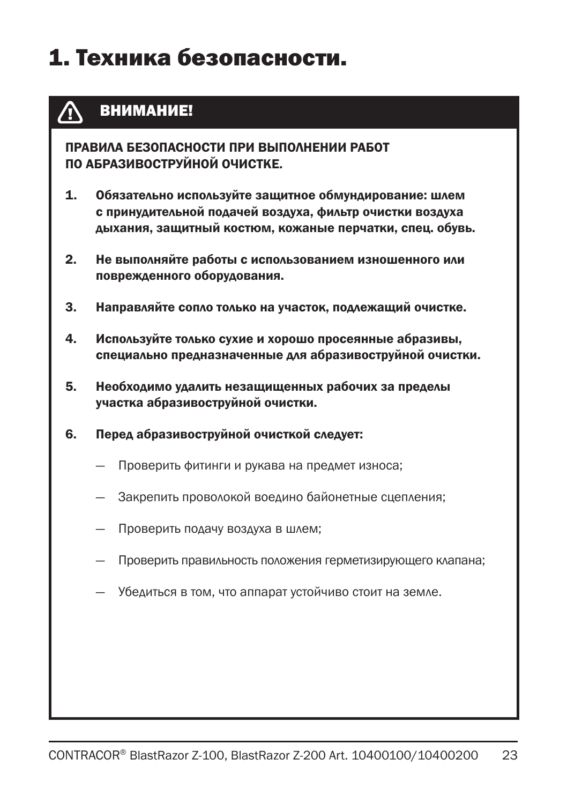## 1. Техника безопасности.

#### ВНИМАНИЕ! Æ

ПРАВИЛА БЕЗОПАСНОСТИ ПРИ ВЫПОЛНЕНИИ РАБОТ ПО АБРАЗИВОСТРУЙНОЙ ОЧИСТКЕ.

- 1. Обязательно используйте защитное обмундирование: шлем с принудительной подачей воздуха, фильтр очистки воздуха дыхания, защитный костюм, кожаные перчатки, спец. обувь.
- 2. Не выполняйте работы с использованием изношенного или поврежденного оборудования.
- 3. Направляйте сопло только на участок, подлежащий очистке.
- 4. Используйте только сухие и хорошо просеянные абразивы, специально предназначенные для абразивоструйной очистки.
- 5. Необходимо удалить незащищенных рабочих за пределы участка абразивоструйной очистки.
- 6. Перед абразивоструйной очисткой следует:
	- Проверить фитинги и рукава на предмет износа;
	- Закрепить проволокой воедино байонетные сцепления;
	- Проверить подачу воздуха в шлем;
	- Проверить правильность положения герметизирующего клапана;
	- Убедиться в том, что аппарат устойчиво стоит на земле.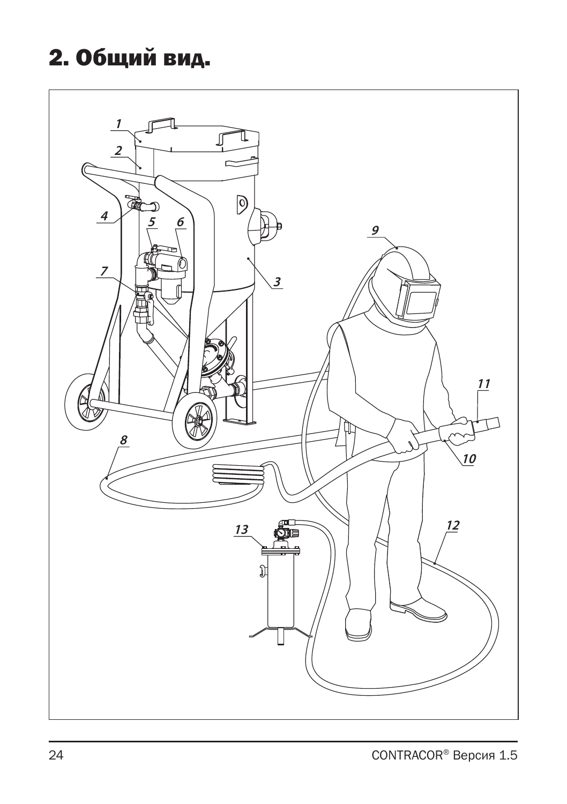# 2. Общий вид.

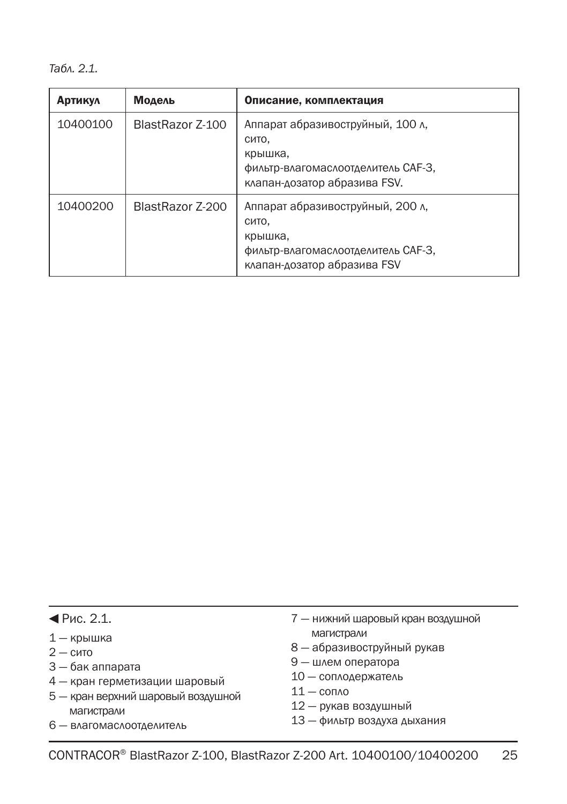*Табл. 2.1.*

| <b>Артикул</b> | Модель           | Описание, комплектация                                                                                                     |
|----------------|------------------|----------------------------------------------------------------------------------------------------------------------------|
| 10400100       | BlastRazor Z-100 | Аппарат абразивоструйный, 100 л.<br>сито.<br>крышка,<br>фильтр-влагомаслоотделитель САГ-3,<br>клапан-дозатор абразива FSV. |
| 10400200       | BlastRazor 7-200 | Аппарат абразивоструйный, 200 л.<br>сито.<br>крышка,<br>фильтр-влагомаслоотделитель САГ-3,<br>клапан-дозатор абразива FSV  |

- $\P$ Рис. 2.1.
- $1 -$ крышка
- $2 -$  сито
- 3 бак аппарата
- 4 кран герметизации шаровый
- 5 кран верхний шаровый воздушной магистрали
- 6 влагомаслоотделитель
- 7 нижний шаровый кран воздушной магистрали
- 8 абразивоструйный рукав
- 9 шлем оператора
- 10 соплодержатель
- $11 -$  сопло
- 12 рукав воздушный
- 13 фильтр воздуха дыхания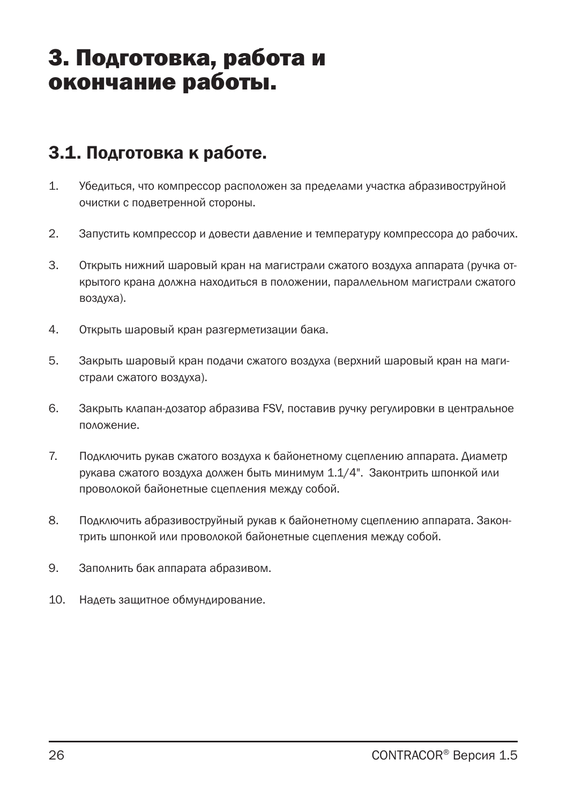## 3. Подготовка, работа и окончание работы.

### 3.1. Подготовка к работе.

- 1. Убедиться, что компрессор расположен за пределами участка абразивоструйной очистки с подветренной стороны.
- 2. Запустить компрессор и довести давление и температуру компрессора до рабочих.
- 3. Открыть нижний шаровый кран на магистрали сжатого воздуха аппарата (ручка открытого крана должна находиться в положении, параллельном магистрали сжатого воздуха).
- 4. Открыть шаровый кран разгерметизации бака.
- 5. Закрыть шаровый кран подачи сжатого воздуха (верхний шаровый кран на магистрали сжатого воздуха).
- 6. Закрыть клапан-дозатор абразива FSV, поставив ручку регулировки в центральное положение.
- 7. Подключить рукав сжатого воздуха к байонетному сцеплению аппарата. Диаметр рукава сжатого воздуха должен быть минимум 1.1/4". Законтрить шпонкой или проволокой байонетные сцепления между собой.
- 8. Подключить абразивоструйный рукав к байонетному сцеплению аппарата. Законтрить шпонкой или проволокой байонетные сцепления между собой.
- 9. Заполнить бак аппарата абразивом.
- 10. Надеть защитное обмундирование.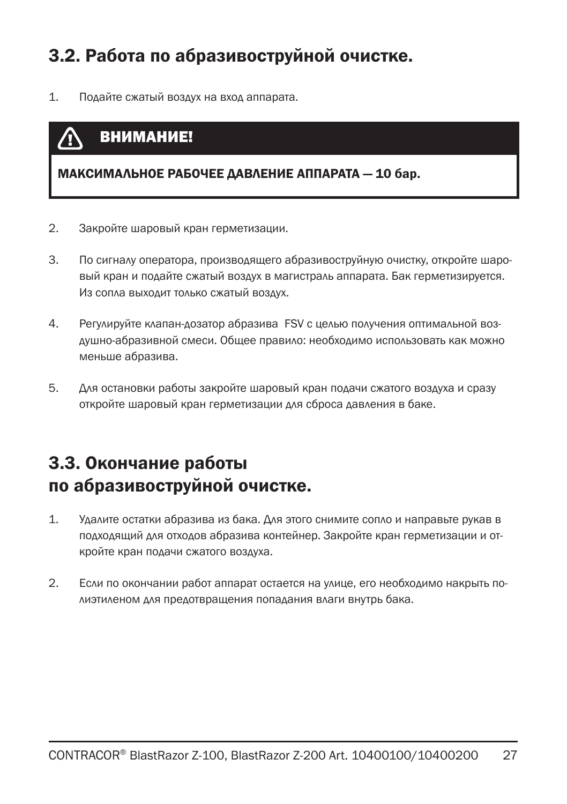### 3.2. Работа по абразивоструйной очистке.

1. Подайте сжатый воздух на вход аппарата.

### ВНИМАНИЕ!

МАКСИМАЛЬНОЕ РАБОЧЕЕ ДАВЛЕНИЕ АППАРАТА — 10 бар.

- 2. Закройте шаровый кран герметизации.
- 3. По сигналу оператора, производящего абразивоструйную очистку, откройте шаровый кран и подайте сжатый воздух в магистраль аппарата. Бак герметизируется. Из сопла выходит только сжатый воздух.
- 4. Регулируйте клапан-дозатор абразива FSV с целью получения оптимальной воздушно-абразивной смеси. Общее правило: необходимо использовать как можно меньше абразива.
- 5. Для остановки работы закройте шаровый кран подачи сжатого воздуха и сразу откройте шаровый кран герметизации для сброса давления в баке.

### 3.3. Окончание работы по абразивоструйной очистке.

- 1. Удалите остатки абразива из бака. Для этого снимите сопло и направьте рукав в подходящий для отходов абразива контейнер. Закройте кран герметизации и откройте кран подачи сжатого воздуха.
- 2. Если по окончании работ аппарат остается на улице, его необходимо накрыть полиэтиленом для предотвращения попадания влаги внутрь бака.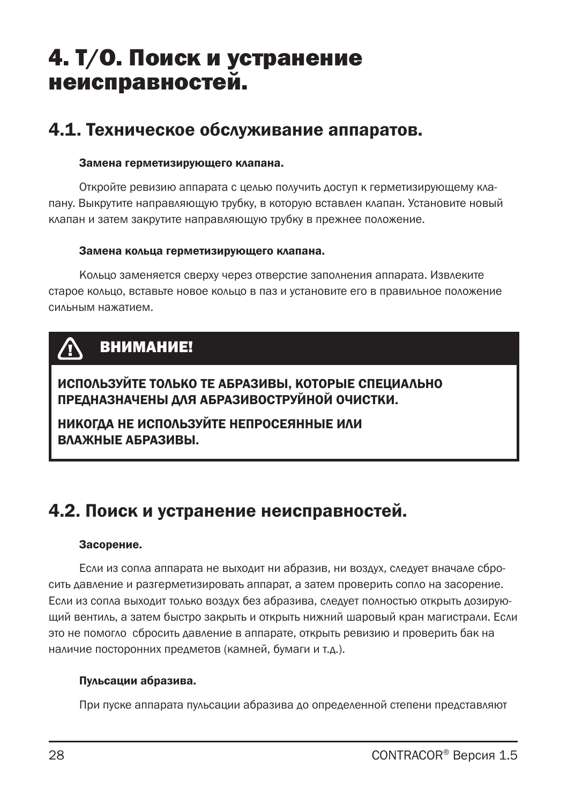## 4. Т/О. Поиск и устранение неисправностей.

### 4.1. Техническое обслуживание аппаратов.

#### Замена герметизирующего клапана.

Откройте ревизию аппарата с целью получить доступ к герметизирующему клапану. Выкрутите направляющую трубку, в которую вставлен клапан. Установите новый клапан и затем закрутите направляющую трубку в прежнее положение.

#### Замена кольца герметизирующего клапана.

Кольцо заменяется сверху через отверстие заполнения аппарата. Извлеките старое кольцо, вставьте новое кольцо в паз и установите его в правильное положение сильным нажатием.

## ВНИМАНИЕ!

ИСПОЛЬЗУЙТЕ ТОЛЬКО ТЕ АБРАЗИВЫ, КОТОРЫЕ СПЕЦИАЛЬНО ПРЕДНАЗНАЧЕНЫ ДЛЯ АБРАЗИВОСТРУЙНОЙ ОЧИСТКИ.

НИКОГДА НЕ ИСПОЛЬЗУЙТЕ НЕПРОСЕЯННЫЕ ИЛИ ВЛАЖНЫЕ АБРАЗИВЫ.

### 4.2. Поиск и устранение неисправностей.

#### Засорение.

Если из сопла аппарата не выходит ни абразив, ни воздух, следует вначале сбросить давление и разгерметизировать аппарат, а затем проверить сопло на засорение. Если из сопла выходит только воздух без абразива, следует полностью открыть дозирующий вентиль, а затем быстро закрыть и открыть нижний шаровый кран магистрали. Если это не помогло сбросить давление в аппарате, открыть ревизию и проверить бак на наличие посторонних предметов (камней, бумаги и т.д.).

#### Пульсации абразива.

При пуске аппарата пульсации абразива до определенной степени представляют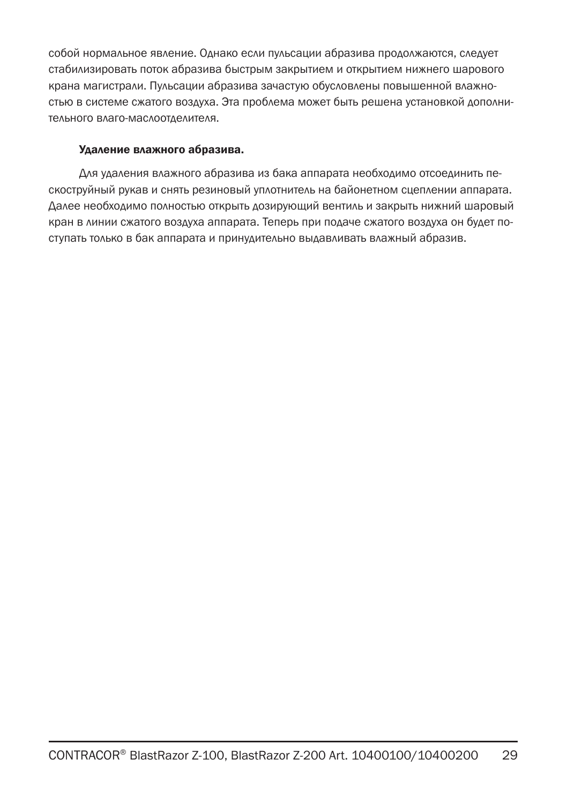собой нормальное явление. Однако если пульсации абразива продолжаются, следует стабилизировать поток абразива быстрым закрытием и открытием нижнего шарового крана магистрали. Пульсации абразива зачастую обусловлены повышенной влажностью в системе сжатого воздуха. Эта проблема может быть решена установкой дополнительного влаго-маслоотделителя.

#### Удаление влажного абразива.

Для удаления влажного абразива из бака аппарата необходимо отсоединить пескоструйный рукав и снять резиновый уплотнитель на байонетном сцеплении аппарата. Далее необходимо полностью открыть дозирующий вентиль и закрыть нижний шаровый кран в линии сжатого воздуха аппарата. Теперь при подаче сжатого воздуха он будет поступать только в бак аппарата и принудительно выдавливать влажный абразив.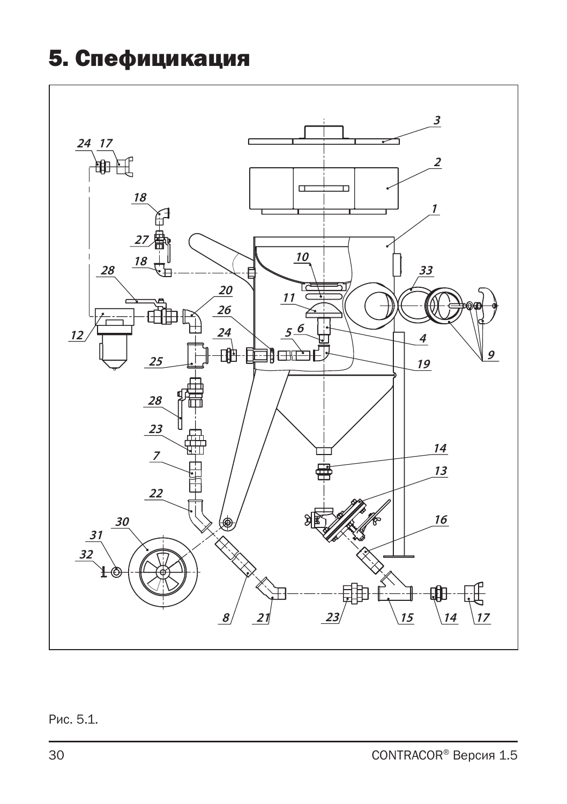## 5. Спефицикация

![](_page_29_Figure_1.jpeg)

Рис. 5.1.